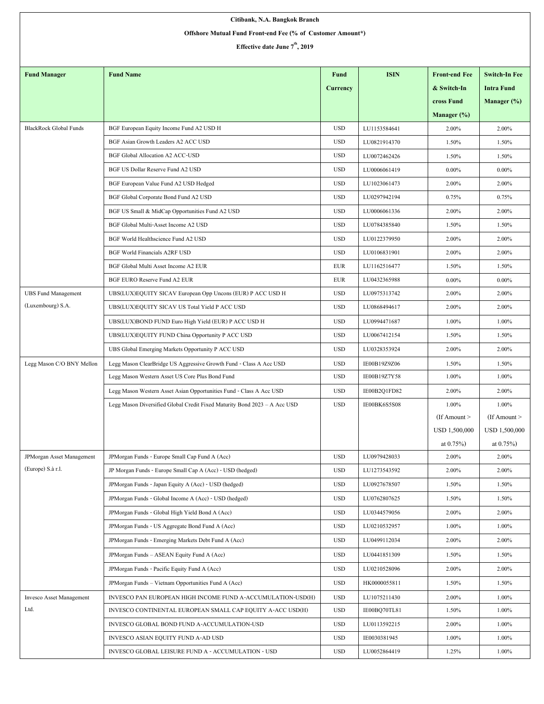| Citibank, N.A. Bangkok Branch                              |                                                                           |                 |              |                      |                      |  |  |  |  |  |
|------------------------------------------------------------|---------------------------------------------------------------------------|-----------------|--------------|----------------------|----------------------|--|--|--|--|--|
| Offshore Mutual Fund Front-end Fee (% of Customer Amount*) |                                                                           |                 |              |                      |                      |  |  |  |  |  |
| Effective date June 7 <sup>th</sup> , 2019                 |                                                                           |                 |              |                      |                      |  |  |  |  |  |
|                                                            |                                                                           |                 |              |                      |                      |  |  |  |  |  |
| <b>Fund Manager</b>                                        | <b>Fund Name</b>                                                          | <b>Fund</b>     | <b>ISIN</b>  | <b>Front-end Fee</b> | <b>Switch-In Fee</b> |  |  |  |  |  |
|                                                            |                                                                           | <b>Currency</b> |              | & Switch-In          | <b>Intra Fund</b>    |  |  |  |  |  |
|                                                            |                                                                           |                 |              | cross Fund           | Manager (%)          |  |  |  |  |  |
|                                                            |                                                                           |                 |              | Manager $(\%)$       |                      |  |  |  |  |  |
| <b>BlackRock Global Funds</b>                              | BGF European Equity Income Fund A2 USD H                                  | <b>USD</b>      | LU1153584641 | 2.00%                | 2.00%                |  |  |  |  |  |
|                                                            | BGF Asian Growth Leaders A2 ACC USD                                       | <b>USD</b>      | LU0821914370 | 1.50%                | 1.50%                |  |  |  |  |  |
|                                                            | <b>BGF Global Allocation A2 ACC-USD</b>                                   | <b>USD</b>      | LU0072462426 | 1.50%                | 1.50%                |  |  |  |  |  |
|                                                            | BGF US Dollar Reserve Fund A2 USD                                         | <b>USD</b>      | LU0006061419 | $0.00\%$             | $0.00\%$             |  |  |  |  |  |
|                                                            | BGF European Value Fund A2 USD Hedged                                     | <b>USD</b>      | LU1023061473 | 2.00%                | 2.00%                |  |  |  |  |  |
|                                                            | BGF Global Corporate Bond Fund A2 USD                                     | <b>USD</b>      | LU0297942194 | 0.75%                | 0.75%                |  |  |  |  |  |
|                                                            | BGF US Small & MidCap Opportunities Fund A2 USD                           | <b>USD</b>      | LU0006061336 | 2.00%                | 2.00%                |  |  |  |  |  |
|                                                            | BGF Global Multi-Asset Income A2 USD                                      | <b>USD</b>      | LU0784385840 | 1.50%                | 1.50%                |  |  |  |  |  |
|                                                            | BGF World Healthscience Fund A2 USD                                       | <b>USD</b>      | LU0122379950 | 2.00%                | 2.00%                |  |  |  |  |  |
|                                                            | <b>BGF World Financials A2RF USD</b>                                      | <b>USD</b>      | LU0106831901 | 2.00%                | 2.00%                |  |  |  |  |  |
|                                                            | BGF Global Multi Asset Income A2 EUR                                      | <b>EUR</b>      | LU1162516477 | 1.50%                | 1.50%                |  |  |  |  |  |
|                                                            | BGF EURO Reserve Fund A2 EUR                                              | <b>EUR</b>      | LU0432365988 | $0.00\%$             | $0.00\%$             |  |  |  |  |  |
| <b>UBS Fund Management</b>                                 | UBS(LUX)EQUITY SICAV European Opp Uncons (EUR) P ACC USD H                | <b>USD</b>      | LU0975313742 | 2.00%                | 2.00%                |  |  |  |  |  |
| (Luxembourg) S.A.                                          | UBS(LUX)EQUITY SICAV US Total Yield P ACC USD                             | <b>USD</b>      | LU0868494617 | 2.00%                | 2.00%                |  |  |  |  |  |
|                                                            | UBS(LUX)BOND FUND Euro High Yield (EUR) P ACC USD H                       | <b>USD</b>      | LU0994471687 | 1.00%                | 1.00%                |  |  |  |  |  |
|                                                            | UBS(LUX)EQUITY FUND China Opportunity P ACC USD                           | <b>USD</b>      | LU0067412154 | 1.50%                | 1.50%                |  |  |  |  |  |
|                                                            | UBS Global Emerging Markets Opportunity P ACC USD                         | <b>USD</b>      | LU0328353924 | 2.00%                | 2.00%                |  |  |  |  |  |
| Legg Mason C/O BNY Mellon                                  | Legg Mason ClearBridge US Aggressive Growth Fund - Class A Acc USD        | <b>USD</b>      | IE00B19Z9Z06 | 1.50%                | 1.50%                |  |  |  |  |  |
|                                                            | Legg Mason Western Asset US Core Plus Bond Fund                           | <b>USD</b>      | IE00B19Z7Y58 | 1.00%                | 1.00%                |  |  |  |  |  |
|                                                            | Legg Mason Western Asset Asian Opportunities Fund - Class A Acc USD       | <b>USD</b>      | IE00B2Q1FD82 | 2.00%                | 2.00%                |  |  |  |  |  |
|                                                            | Legg Mason Diversified Global Credit Fixed Maturity Bond 2023 - A Acc USD | <b>USD</b>      | IE00BK6S5S08 | 1.00%                | 1.00%                |  |  |  |  |  |
|                                                            |                                                                           |                 |              | $($ If Amount $>$    | $($ If Amount $>$    |  |  |  |  |  |
|                                                            |                                                                           |                 |              | <b>USD 1,500,000</b> | <b>USD 1.500.000</b> |  |  |  |  |  |
|                                                            |                                                                           |                 |              | at $0.75\%$ )        | at $0.75\%$ )        |  |  |  |  |  |
| JPMorgan Asset Management<br>(Europe) S.à r.l.             | JPMorgan Funds - Europe Small Cap Fund A (Acc)                            | <b>USD</b>      | LU0979428033 | 2.00%                | 2.00%                |  |  |  |  |  |
|                                                            | JP Morgan Funds - Europe Small Cap A (Acc) - USD (hedged)                 | <b>USD</b>      | LU1273543592 | 2.00%                | 2.00%                |  |  |  |  |  |
|                                                            | JPMorgan Funds - Japan Equity A (Acc) - USD (hedged)                      | <b>USD</b>      | LU0927678507 | 1.50%                | 1.50%                |  |  |  |  |  |
|                                                            | JPMorgan Funds - Global Income A (Acc) - USD (hedged)                     | <b>USD</b>      | LU0762807625 | 1.50%                | 1.50%                |  |  |  |  |  |
|                                                            | JPMorgan Funds - Global High Yield Bond A (Acc)                           | <b>USD</b>      | LU0344579056 | 2.00%                | 2.00%                |  |  |  |  |  |
|                                                            | JPM organ Funds - US Aggregate Bond Fund A (Acc)                          | <b>USD</b>      | LU0210532957 | 1.00%                | 1.00%                |  |  |  |  |  |
|                                                            | JPMorgan Funds - Emerging Markets Debt Fund A (Acc)                       | <b>USD</b>      | LU0499112034 | 2.00%                | 2.00%                |  |  |  |  |  |
|                                                            | JPMorgan Funds - ASEAN Equity Fund A (Acc)                                | <b>USD</b>      | LU0441851309 | 1.50%                | 1.50%                |  |  |  |  |  |
|                                                            | JPMorgan Funds - Pacific Equity Fund A (Acc)                              | <b>USD</b>      | LU0210528096 | 2.00%                | 2.00%                |  |  |  |  |  |
|                                                            | JPMorgan Funds - Vietnam Opportunities Fund A (Acc)                       | <b>USD</b>      | HK0000055811 | 1.50%                | 1.50%                |  |  |  |  |  |
| <b>Invesco Asset Management</b>                            | INVESCO PAN EUROPEAN HIGH INCOME FUND A-ACCUMULATION-USD(H)               | <b>USD</b>      | LU1075211430 | 2.00%                | 1.00%                |  |  |  |  |  |
| Ltd.                                                       | INVESCO CONTINENTAL EUROPEAN SMALL CAP EQUITY A-ACC USD(H)                | <b>USD</b>      | IE00BQ70TL81 | 1.50%                | 1.00%                |  |  |  |  |  |
|                                                            | INVESCO GLOBAL BOND FUND A-ACCUMULATION-USD                               | <b>USD</b>      | LU0113592215 | 2.00%                | 1.00%                |  |  |  |  |  |
|                                                            | INVESCO ASIAN EQUITY FUND A-AD USD                                        | <b>USD</b>      | IE0030381945 | 1.00%                | 1.00%                |  |  |  |  |  |
|                                                            | INVESCO GLOBAL LEISURE FUND A - ACCUMULATION - USD                        | <b>USD</b>      | LU0052864419 | 1.25%                | 1.00%                |  |  |  |  |  |